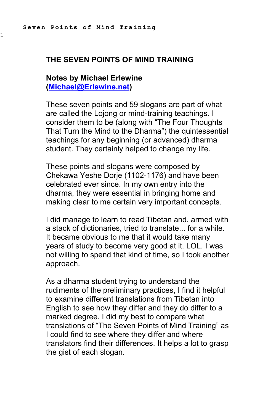1

#### **THE SEVEN POINTS OF MIND TRAINING**

#### **Notes by Michael Erlewine [\(Michael@Erlewine.net\)](mailto:Michael@Erlewine.net)**

These seven points and 59 slogans are part of what are called the Lojong or mind-training teachings. I consider them to be (along with "The Four Thoughts That Turn the Mind to the Dharma") the quintessential teachings for any beginning (or advanced) dharma student. They certainly helped to change my life.

These points and slogans were composed by Chekawa Yeshe Dorje (1102-1176) and have been celebrated ever since. In my own entry into the dharma, they were essential in bringing home and making clear to me certain very important concepts.

I did manage to learn to read Tibetan and, armed with a stack of dictionaries, tried to translate... for a while. It became obvious to me that it would take many years of study to become very good at it. LOL. I was not willing to spend that kind of time, so I took another approach.

As a dharma student trying to understand the rudiments of the preliminary practices, I find it helpful to examine different translations from Tibetan into English to see how they differ and they do differ to a marked degree. I did my best to compare what translations of "The Seven Points of Mind Training" as I could find to see where they differ and where translators find their differences. It helps a lot to grasp the gist of each slogan.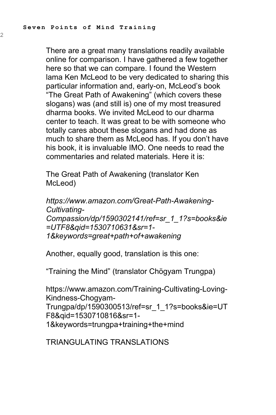2

There are a great many translations readily available online for comparison. I have gathered a few together here so that we can compare. I found the Western lama Ken McLeod to be very dedicated to sharing this particular information and, early-on, McLeod's book "The Great Path of Awakening" (which covers these slogans) was (and still is) one of my most treasured dharma books. We invited McLeod to our dharma center to teach. It was great to be with someone who totally cares about these slogans and had done as much to share them as McLeod has. If you don't have his book, it is invaluable IMO. One needs to read the commentaries and related materials. Here it is:

The Great Path of Awakening (translator Ken McLeod)

*https://www.amazon.com/Great-Path-Awakening-Cultivating-Compassion/dp/1590302141/ref=sr\_1\_1?s=books&ie =UTF8&qid=1530710631&sr=1- 1&keywords=great+path+of+awakening*

Another, equally good, translation is this one:

"Training the Mind" (translator Chögyam Trungpa)

https://www.amazon.com/Training-Cultivating-Loving-Kindness-Chogyam-Trungpa/dp/1590300513/ref=sr\_1\_1?s=books&ie=UT F8&qid=1530710816&sr=1- 1&keywords=trungpa+training+the+mind

TRIANGULATING TRANSLATIONS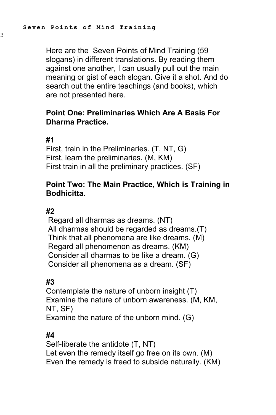Here are the Seven Points of Mind Training (59 slogans) in different translations. By reading them against one another, I can usually pull out the main meaning or gist of each slogan. Give it a shot. And do search out the entire teachings (and books), which are not presented here.

### **Point One: Preliminaries Which Are A Basis For Dharma Practice.**

#### **#1**

3

First, train in the Preliminaries. (T, NT, G) First, learn the preliminaries. (M, KM) First train in all the preliminary practices. (SF)

### **Point Two: The Main Practice, Which is Training in Bodhicitta.**

#### **#2**

Regard all dharmas as dreams. (NT) All dharmas should be regarded as dreams.(T) Think that all phenomena are like dreams. (M) Regard all phenomenon as dreams. (KM) Consider all dharmas to be like a dream. (G) Consider all phenomena as a dream. (SF)

#### **#3**

Contemplate the nature of unborn insight (T) Examine the nature of unborn awareness. (M, KM, NT, SF) Examine the nature of the unborn mind. (G)

#### **#4**

Self-liberate the antidote (T, NT) Let even the remedy itself go free on its own. (M) Even the remedy is freed to subside naturally. (KM)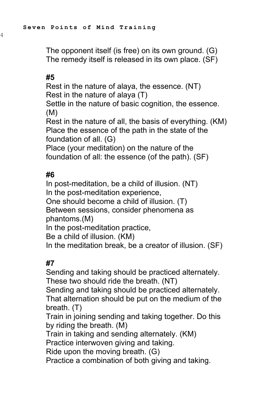The opponent itself (is free) on its own ground. (G) The remedy itself is released in its own place. (SF)

### **#5**

4

Rest in the nature of alaya, the essence. (NT) Rest in the nature of alaya (T)

Settle in the nature of basic cognition, the essence. (M)

Rest in the nature of all, the basis of everything. (KM) Place the essence of the path in the state of the foundation of all. (G)

Place (your meditation) on the nature of the foundation of all: the essence (of the path). (SF)

#### **#6**

In post-meditation, be a child of illusion. (NT) In the post-meditation experience,

One should become a child of illusion. (T)

Between sessions, consider phenomena as phantoms.(M)

In the post-meditation practice,

Be a child of illusion. (KM)

In the meditation break, be a creator of illusion. (SF)

# **#7**

Sending and taking should be practiced alternately. These two should ride the breath. (NT)

Sending and taking should be practiced alternately. That alternation should be put on the medium of the breath. (T)

Train in joining sending and taking together. Do this by riding the breath. (M)

Train in taking and sending alternately. (KM)

Practice interwoven giving and taking.

Ride upon the moving breath. (G)

Practice a combination of both giving and taking.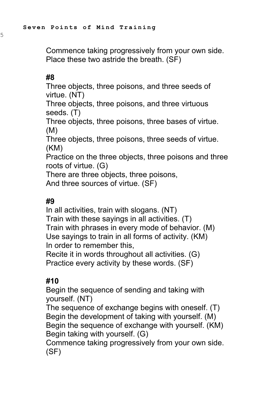Commence taking progressively from your own side. Place these two astride the breath. (SF)

### **#8**

5

Three objects, three poisons, and three seeds of virtue. (NT)

Three objects, three poisons, and three virtuous seeds. (T)

Three objects, three poisons, three bases of virtue. (M)

Three objects, three poisons, three seeds of virtue. (KM)

Practice on the three objects, three poisons and three roots of virtue. (G)

There are three objects, three poisons,

And three sources of virtue. (SF)

### **#9**

In all activities, train with slogans. (NT) Train with these sayings in all activities. (T) Train with phrases in every mode of behavior. (M) Use sayings to train in all forms of activity. (KM) In order to remember this,

Recite it in words throughout all activities. (G) Practice every activity by these words. (SF)

### **#10**

Begin the sequence of sending and taking with yourself. (NT)

The sequence of exchange begins with oneself. (T) Begin the development of taking with yourself. (M) Begin the sequence of exchange with yourself. (KM) Begin taking with yourself. (G)

Commence taking progressively from your own side. (SF)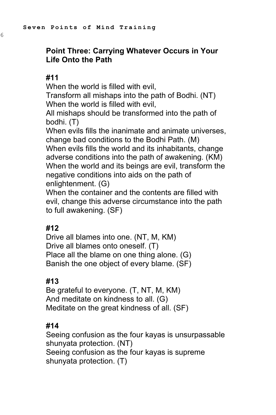# **Point Three: Carrying Whatever Occurs in Your Life Onto the Path**

#### **#11**

6

When the world is filled with evil,

Transform all mishaps into the path of Bodhi. (NT) When the world is filled with evil,

All mishaps should be transformed into the path of bodhi. (T)

When evils fills the inanimate and animate universes, change bad conditions to the Bodhi Path. (M) When evils fills the world and its inhabitants, change adverse conditions into the path of awakening. (KM) When the world and its beings are evil, transform the negative conditions into aids on the path of enlightenment. (G)

When the container and the contents are filled with evil, change this adverse circumstance into the path to full awakening. (SF)

### **#12**

Drive all blames into one. (NT, M, KM) Drive all blames onto oneself. (T) Place all the blame on one thing alone. (G) Banish the one object of every blame. (SF)

### **#13**

Be grateful to everyone. (T, NT, M, KM) And meditate on kindness to all. (G) Meditate on the great kindness of all. (SF)

## **#14**

Seeing confusion as the four kayas is unsurpassable shunyata protection. (NT) Seeing confusion as the four kayas is supreme shunyata protection. (T)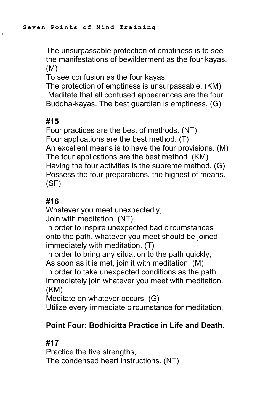The unsurpassable protection of emptiness is to see the manifestations of bewilderment as the four kayas. (M)

To see confusion as the four kayas,

The protection of emptiness is unsurpassable. (KM) Meditate that all confused appearances are the four Buddha-kayas. The best guardian is emptiness. (G)

# **#15**

7

Four practices are the best of methods. (NT) Four applications are the best method. (T) An excellent means is to have the four provisions. (M) The four applications are the best method. (KM) Having the four activities is the supreme method. (G) Possess the four preparations, the highest of means. (SF)

# **#16**

Whatever you meet unexpectedly, Join with meditation. (NT) In order to inspire unexpected bad circumstances onto the path, whatever you meet should be joined immediately with meditation. (T) In order to bring any situation to the path quickly, As soon as it is met, join it with meditation. (M) In order to take unexpected conditions as the path, immediately join whatever you meet with meditation. (KM)

Meditate on whatever occurs. (G)

Utilize every immediate circumstance for meditation.

# **Point Four: Bodhicitta Practice in Life and Death.**

# **#17**

Practice the five strengths, The condensed heart instructions. (NT)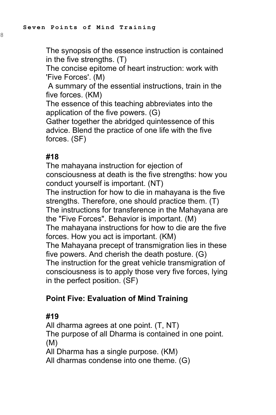The synopsis of the essence instruction is contained in the five strengths. (T)

The concise epitome of heart instruction: work with 'Five Forces'. (M)

A summary of the essential instructions, train in the five forces. (KM)

The essence of this teaching abbreviates into the application of the five powers. (G)

Gather together the abridged quintessence of this advice. Blend the practice of one life with the five forces. (SF)

## **#18**

The mahayana instruction for ejection of consciousness at death is the five strengths: how you conduct yourself is important. (NT)

The instruction for how to die in mahayana is the five strengths. Therefore, one should practice them. (T) The instructions for transference in the Mahayana are the "Five Forces". Behavior is important. (M)

The mahayana instructions for how to die are the five forces. How you act is important. (KM)

The Mahayana precept of transmigration lies in these five powers. And cherish the death posture. (G)

The instruction for the great vehicle transmigration of consciousness is to apply those very five forces, lying in the perfect position. (SF)

# **Point Five: Evaluation of Mind Training**

## **#19**

All dharma agrees at one point. (T, NT) The purpose of all Dharma is contained in one point. (M) All Dharma has a single purpose. (KM)

All dharmas condense into one theme. (G)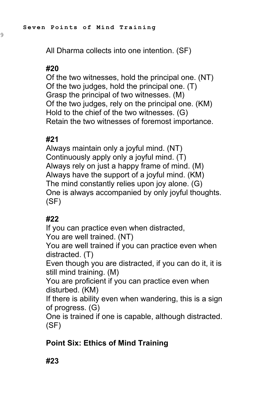All Dharma collects into one intention. (SF)

# **#20**

9

Of the two witnesses, hold the principal one. (NT) Of the two judges, hold the principal one. (T) Grasp the principal of two witnesses. (M) Of the two judges, rely on the principal one. (KM) Hold to the chief of the two witnesses. (G) Retain the two witnesses of foremost importance.

# **#21**

Always maintain only a joyful mind. (NT) Continuously apply only a joyful mind. (T) Always rely on just a happy frame of mind. (M) Always have the support of a joyful mind. (KM) The mind constantly relies upon joy alone. (G) One is always accompanied by only joyful thoughts. (SF)

# **#22**

If you can practice even when distracted,

You are well trained. (NT)

You are well trained if you can practice even when distracted. (T)

Even though you are distracted, if you can do it, it is still mind training. (M)

You are proficient if you can practice even when disturbed. (KM)

If there is ability even when wandering, this is a sign of progress. (G)

One is trained if one is capable, although distracted. (SF)

# **Point Six: Ethics of Mind Training**

# **#23**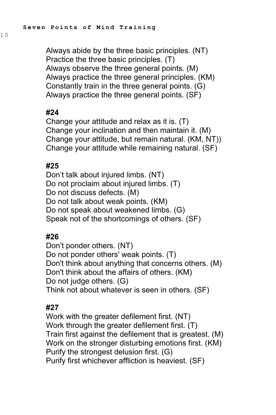Always abide by the three basic principles. (NT) Practice the three basic principles. (T) Always observe the three general points. (M) Always practice the three general principles. (KM) Constantly train in the three general points. (G) Always practice the three general points. (SF)

## **#24**

Change your attitude and relax as it is. (T) Change your inclination and then maintain it. (M) Change your attitude, but remain natural. (KM, NT)) Change your attitude while remaining natural. (SF)

## **#25**

Don't talk about injured limbs. (NT) Do not proclaim about injured limbs. (T) Do not discuss defects. (M) Do not talk about weak points. (KM) Do not speak about weakened limbs. (G) Speak not of the shortcomings of others. (SF)

## **#26**

Don't ponder others. (NT) Do not ponder others' weak points. (T) Don't think about anything that concerns others. (M) Don't think about the affairs of others. (KM) Do not judge others. (G) Think not about whatever is seen in others. (SF)

## **#27**

Work with the greater defilement first. (NT) Work through the greater defilement first. (T) Train first against the defilement that is greatest. (M) Work on the stronger disturbing emotions first. (KM) Purify the strongest delusion first. (G) Purify first whichever affliction is heaviest. (SF)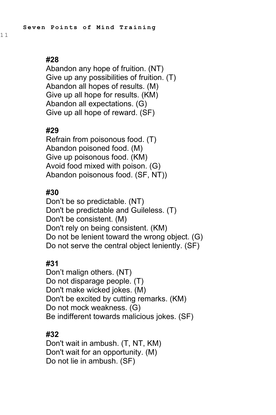Abandon any hope of fruition. (NT) Give up any possibilities of fruition. (T) Abandon all hopes of results. (M) Give up all hope for results. (KM) Abandon all expectations. (G) Give up all hope of reward. (SF)

# **#29**

Refrain from poisonous food. (T) Abandon poisoned food. (M) Give up poisonous food. (KM) Avoid food mixed with poison. (G) Abandon poisonous food. (SF, NT))

# **#30**

Don't be so predictable. (NT) Don't be predictable and Guileless. (T) Don't be consistent. (M) Don't rely on being consistent. (KM) Do not be lenient toward the wrong object. (G) Do not serve the central object leniently. (SF)

# **#31**

Don't malign others. (NT) Do not disparage people. (T) Don't make wicked jokes. (M) Don't be excited by cutting remarks. (KM) Do not mock weakness. (G) Be indifferent towards malicious jokes. (SF)

# **#32**

Don't wait in ambush. (T, NT, KM) Don't wait for an opportunity. (M) Do not lie in ambush. (SF)

1 1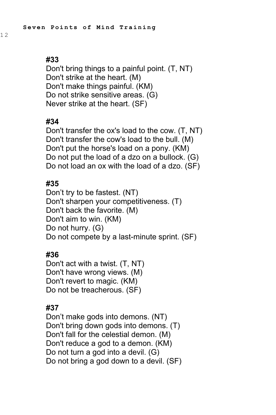1 2

Don't bring things to a painful point. (T, NT) Don't strike at the heart. (M) Don't make things painful. (KM) Do not strike sensitive areas. (G) Never strike at the heart. (SF)

## **#34**

Don't transfer the ox's load to the cow. (T, NT) Don't transfer the cow's load to the bull. (M) Don't put the horse's load on a pony. (KM) Do not put the load of a dzo on a bullock. (G) Do not load an ox with the load of a dzo. (SF)

### **#35**

Don't try to be fastest. (NT) Don't sharpen your competitiveness. (T) Don't back the favorite. (M) Don't aim to win. (KM) Do not hurry. (G) Do not compete by a last-minute sprint. (SF)

### **#36**

Don't act with a twist. (T, NT) Don't have wrong views. (M) Don't revert to magic. (KM) Do not be treacherous. (SF)

### **#37**

Don't make gods into demons. (NT) Don't bring down gods into demons. (T) Don't fall for the celestial demon. (M) Don't reduce a god to a demon. (KM) Do not turn a god into a devil. (G) Do not bring a god down to a devil. (SF)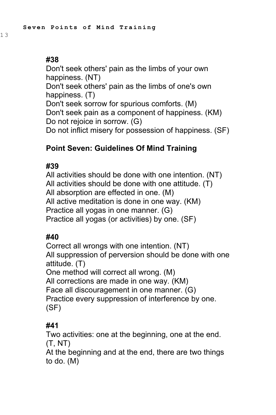1 3

Don't seek others' pain as the limbs of your own happiness. (NT) Don't seek others' pain as the limbs of one's own happiness. (T) Don't seek sorrow for spurious comforts. (M) Don't seek pain as a component of happiness. (KM) Do not rejoice in sorrow. (G) Do not inflict misery for possession of happiness. (SF)

# **Point Seven: Guidelines Of Mind Training**

## **#39**

All activities should be done with one intention. (NT) All activities should be done with one attitude. (T) All absorption are effected in one. (M) All active meditation is done in one way. (KM) Practice all yogas in one manner. (G) Practice all yogas (or activities) by one. (SF)

## **#40**

Correct all wrongs with one intention. (NT) All suppression of perversion should be done with one attitude. (T) One method will correct all wrong. (M) All corrections are made in one way. (KM) Face all discouragement in one manner. (G) Practice every suppression of interference by one. (SF)

## **#41**

Two activities: one at the beginning, one at the end. (T, NT)

At the beginning and at the end, there are two things to do. (M)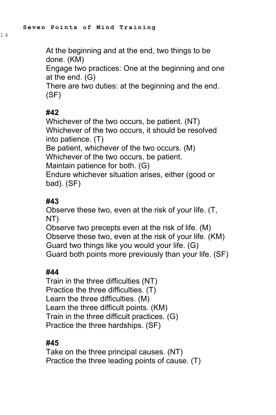1 4

At the beginning and at the end, two things to be done. (KM)

Engage two practices: One at the beginning and one at the end. (G)

There are two duties: at the beginning and the end. (SF)

# **#42**

Whichever of the two occurs, be patient. (NT) Whichever of the two occurs, it should be resolved into patience. (T) Be patient, whichever of the two occurs. (M) Whichever of the two occurs, be patient. Maintain patience for both. (G) Endure whichever situation arises, either (good or bad). (SF)

# **#43**

Observe these two, even at the risk of your life. (T, NT) Observe two precepts even at the risk of life. (M) Observe these two, even at the risk of your life. (KM)

Guard two things like you would your life. (G) Guard both points more previously than your life. (SF)

## **#44**

Train in the three difficulties (NT) Practice the three difficulties. (T) Learn the three difficulties. (M) Learn the three difficult points. (KM) Train in the three difficult practices. (G) Practice the three hardships. (SF)

# **#45**

Take on the three principal causes. (NT) Practice the three leading points of cause. (T)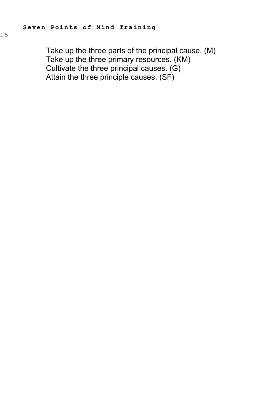Take up the three parts of the principal cause. (M) Take up the three primary resources. (KM) Cultivate the three principal causes. (G) Attain the three principle causes. (SF)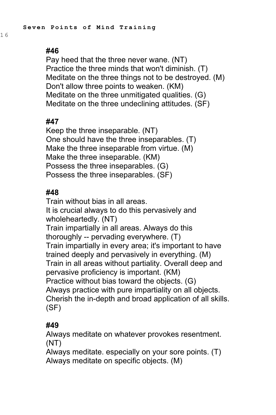1 6

Pay heed that the three never wane. (NT) Practice the three minds that won't diminish. (T) Meditate on the three things not to be destroyed. (M) Don't allow three points to weaken. (KM) Meditate on the three unmitigated qualities. (G) Meditate on the three undeclining attitudes. (SF)

### **#47**

Keep the three inseparable. (NT) One should have the three inseparables. (T) Make the three inseparable from virtue. (M) Make the three inseparable. (KM) Possess the three inseparables. (G) Possess the three inseparables. (SF)

### **#48**

Train without bias in all areas. It is crucial always to do this pervasively and wholeheartedly. (NT) Train impartially in all areas. Always do this thoroughly -- pervading everywhere. (T) Train impartially in every area; it's important to have trained deeply and pervasively in everything. (M) Train in all areas without partiality. Overall deep and pervasive proficiency is important. (KM) Practice without bias toward the objects. (G) Always practice with pure impartiality on all objects. Cherish the in-depth and broad application of all skills. (SF)

## **#49**

Always meditate on whatever provokes resentment. (NT)

Always meditate. especially on your sore points. (T) Always meditate on specific objects. (M)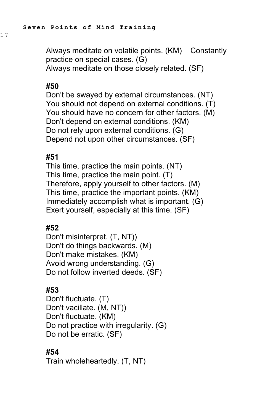Always meditate on volatile points. (KM) Constantly practice on special cases. (G) Always meditate on those closely related. (SF)

#### **#50**

Don't be swayed by external circumstances. (NT) You should not depend on external conditions. (T) You should have no concern for other factors. (M) Don't depend on external conditions. (KM) Do not rely upon external conditions. (G) Depend not upon other circumstances. (SF)

#### **#51**

This time, practice the main points. (NT) This time, practice the main point. (T) Therefore, apply yourself to other factors. (M) This time, practice the important points. (KM) Immediately accomplish what is important. (G) Exert yourself, especially at this time. (SF)

### **#52**

Don't misinterpret. (T, NT)) Don't do things backwards. (M) Don't make mistakes. (KM) Avoid wrong understanding. (G) Do not follow inverted deeds. (SF)

### **#53**

Don't fluctuate. (T) Don't vacillate. (M, NT)) Don't fluctuate. (KM) Do not practice with irregularity. (G) Do not be erratic. (SF)

### **#54**

Train wholeheartedly. (T, NT)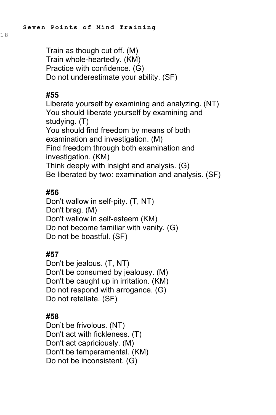Train as though cut off. (M) Train whole-heartedly. (KM) Practice with confidence. (G) Do not underestimate your ability. (SF)

### **#55**

Liberate yourself by examining and analyzing. (NT) You should liberate yourself by examining and studying. (T) You should find freedom by means of both examination and investigation. (M) Find freedom through both examination and investigation. (KM) Think deeply with insight and analysis. (G) Be liberated by two: examination and analysis. (SF)

# **#56**

Don't wallow in self-pity. (T, NT) Don't brag. (M) Don't wallow in self-esteem (KM) Do not become familiar with vanity. (G) Do not be boastful. (SF)

## **#57**

Don't be jealous. (T, NT) Don't be consumed by jealousy. (M) Don't be caught up in irritation. (KM) Do not respond with arrogance. (G) Do not retaliate. (SF)

## **#58**

Don't be frivolous. (NT) Don't act with fickleness. (T) Don't act capriciously. (M) Don't be temperamental. (KM) Do not be inconsistent. (G)